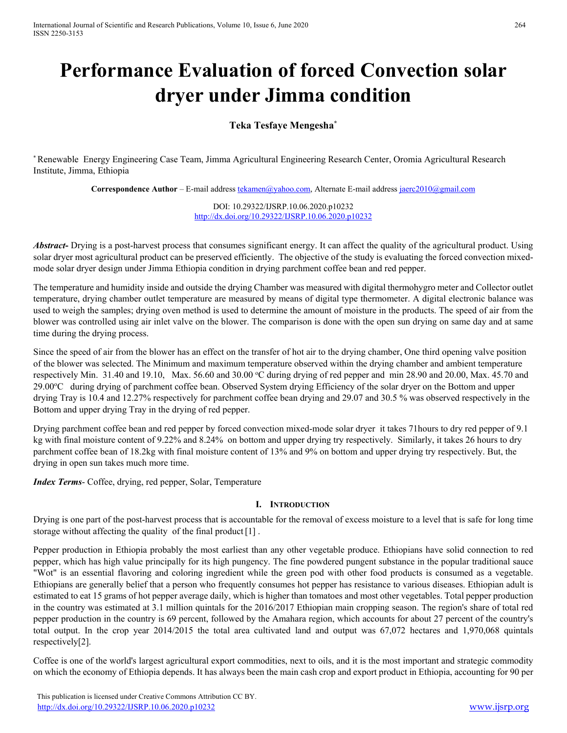# **Performance Evaluation of forced Convection solar dryer under Jimma condition**

# **Teka Tesfaye Mengesha\***

\* Renewable Energy Engineering Case Team, Jimma Agricultural Engineering Research Center, Oromia Agricultural Research Institute, Jimma, Ethiopia

**Correspondence Author** – E-mail addres[s tekamen@yahoo.com,](mailto:tekamen@yahoo.com) Alternate E-mail addres[s jaerc2010@gmail.com](mailto:jaerc2010@gmail.com) 

DOI: 10.29322/IJSRP.10.06.2020.p10232 <http://dx.doi.org/10.29322/IJSRP.10.06.2020.p10232>

Abstract- Drying is a post-harvest process that consumes significant energy. It can affect the quality of the agricultural product. Using solar dryer most agricultural product can be preserved efficiently. The objective of the study is evaluating the forced convection mixedmode solar dryer design under Jimma Ethiopia condition in drying parchment coffee bean and red pepper.

The temperature and humidity inside and outside the drying Chamber was measured with digital thermohygro meter and Collector outlet temperature, drying chamber outlet temperature are measured by means of digital type thermometer. A digital electronic balance was used to weigh the samples; drying oven method is used to determine the amount of moisture in the products. The speed of air from the blower was controlled using air inlet valve on the blower. The comparison is done with the open sun drying on same day and at same time during the drying process.

Since the speed of air from the blower has an effect on the transfer of hot air to the drying chamber, One third opening valve position of the blower was selected. The Minimum and maximum temperature observed within the drying chamber and ambient temperature respectively Min. 31.40 and 19.10, Max. 56.60 and 30.00 °C during drying of red pepper and min 28.90 and 20.00, Max. 45.70 and 29.00°C during drying of parchment coffee bean. Observed System drying Efficiency of the solar dryer on the Bottom and upper drying Tray is 10.4 and 12.27% respectively for parchment coffee bean drying and 29.07 and 30.5 % was observed respectively in the Bottom and upper drying Tray in the drying of red pepper.

Drying parchment coffee bean and red pepper by forced convection mixed-mode solar dryer it takes 71hours to dry red pepper of 9.1 kg with final moisture content of 9.22% and 8.24% on bottom and upper drying try respectively. Similarly, it takes 26 hours to dry parchment coffee bean of 18.2kg with final moisture content of 13% and 9% on bottom and upper drying try respectively. But, the drying in open sun takes much more time.

*Index Terms*- Coffee, drying, red pepper, Solar, Temperature

## **I. INTRODUCTION**

Drying is one part of the post-harvest process that is accountable for the removal of excess moisture to a level that is safe for long time storage without affecting the quality of the final product[1] .

Pepper production in Ethiopia probably the most earliest than any other vegetable produce. Ethiopians have solid connection to red pepper, which has high value principally for its high pungency. The fine powdered pungent substance in the popular traditional sauce "Wot" is an essential flavoring and coloring ingredient while the green pod with other food products is consumed as a vegetable. Ethiopians are generally belief that a person who frequently consumes hot pepper has resistance to various diseases. Ethiopian adult is estimated to eat 15 grams of hot pepper average daily, which is higher than tomatoes and most other vegetables. Total pepper production in the country was estimated at 3.1 million quintals for the 2016/2017 Ethiopian main cropping season. The region's share of total red pepper production in the country is 69 percent, followed by the Amahara region, which accounts for about 27 percent of the country's total output. In the crop year 2014/2015 the total area cultivated land and output was 67,072 hectares and 1,970,068 quintals respectively[2].

Coffee is one of the world's largest agricultural export commodities, next to oils, and it is the most important and strategic commodity on which the economy of Ethiopia depends. It has always been the main cash crop and export product in Ethiopia, accounting for 90 per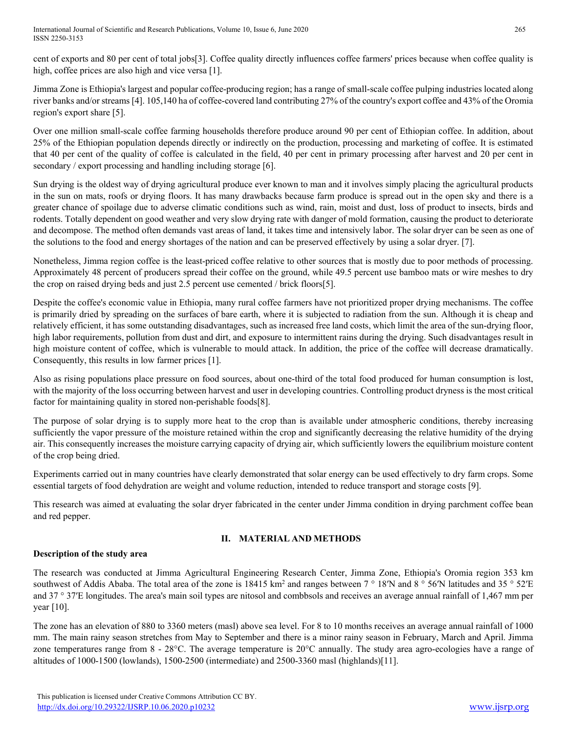cent of exports and 80 per cent of total jobs[3]. Coffee quality directly influences coffee farmers' prices because when coffee quality is high, coffee prices are also high and vice versa [1].

Jimma Zone is Ethiopia's largest and popular coffee-producing region; has a range of small-scale coffee pulping industries located along river banks and/or streams [4]. 105,140 ha of coffee-covered land contributing 27% of the country's export coffee and 43% of the Oromia region's export share [5].

Over one million small-scale coffee farming households therefore produce around 90 per cent of Ethiopian coffee. In addition, about 25% of the Ethiopian population depends directly or indirectly on the production, processing and marketing of coffee. It is estimated that 40 per cent of the quality of coffee is calculated in the field, 40 per cent in primary processing after harvest and 20 per cent in secondary / export processing and handling including storage [6].

Sun drying is the oldest way of drying agricultural produce ever known to man and it involves simply placing the agricultural products in the sun on mats, roofs or drying floors. It has many drawbacks because farm produce is spread out in the open sky and there is a greater chance of spoilage due to adverse climatic conditions such as wind, rain, moist and dust, loss of product to insects, birds and rodents. Totally dependent on good weather and very slow drying rate with danger of mold formation, causing the product to deteriorate and decompose. The method often demands vast areas of land, it takes time and intensively labor. The solar dryer can be seen as one of the solutions to the food and energy shortages of the nation and can be preserved effectively by using a solar dryer. [7].

Nonetheless, Jimma region coffee is the least-priced coffee relative to other sources that is mostly due to poor methods of processing. Approximately 48 percent of producers spread their coffee on the ground, while 49.5 percent use bamboo mats or wire meshes to dry the crop on raised drying beds and just 2.5 percent use cemented / brick floors[5].

Despite the coffee's economic value in Ethiopia, many rural coffee farmers have not prioritized proper drying mechanisms. The coffee is primarily dried by spreading on the surfaces of bare earth, where it is subjected to radiation from the sun. Although it is cheap and relatively efficient, it has some outstanding disadvantages, such as increased free land costs, which limit the area of the sun-drying floor, high labor requirements, pollution from dust and dirt, and exposure to intermittent rains during the drying. Such disadvantages result in high moisture content of coffee, which is vulnerable to mould attack. In addition, the price of the coffee will decrease dramatically. Consequently, this results in low farmer prices [1].

Also as rising populations place pressure on food sources, about one-third of the total food produced for human consumption is lost, with the majority of the loss occurring between harvest and user in developing countries. Controlling product dryness is the most critical factor for maintaining quality in stored non-perishable foods[8].

The purpose of solar drying is to supply more heat to the crop than is available under atmospheric conditions, thereby increasing sufficiently the vapor pressure of the moisture retained within the crop and significantly decreasing the relative humidity of the drying air. This consequently increases the moisture carrying capacity of drying air, which sufficiently lowers the equilibrium moisture content of the crop being dried.

Experiments carried out in many countries have clearly demonstrated that solar energy can be used effectively to dry farm crops. Some essential targets of food dehydration are weight and volume reduction, intended to reduce transport and storage costs [9].

This research was aimed at evaluating the solar dryer fabricated in the center under Jimma condition in drying parchment coffee bean and red pepper.

# **II. MATERIAL AND METHODS**

# **Description of the study area**

The research was conducted at Jimma Agricultural Engineering Research Center, Jimma Zone, Ethiopia's Oromia region 353 km southwest of Addis Ababa. The total area of the zone is 18415 km<sup>2</sup> and ranges between 7 ° 18′N and 8 ° 56′N latitudes and 35 ° 52′E and 37 ° 37′E longitudes. The area's main soil types are nitosol and combbsols and receives an average annual rainfall of 1,467 mm per year [10].

The zone has an elevation of 880 to 3360 meters (masl) above sea level. For 8 to 10 months receives an average annual rainfall of 1000 mm. The main rainy season stretches from May to September and there is a minor rainy season in February, March and April. Jimma zone temperatures range from 8 - 28°C. The average temperature is 20°C annually. The study area agro-ecologies have a range of altitudes of 1000-1500 (lowlands), 1500-2500 (intermediate) and 2500-3360 masl (highlands)[11].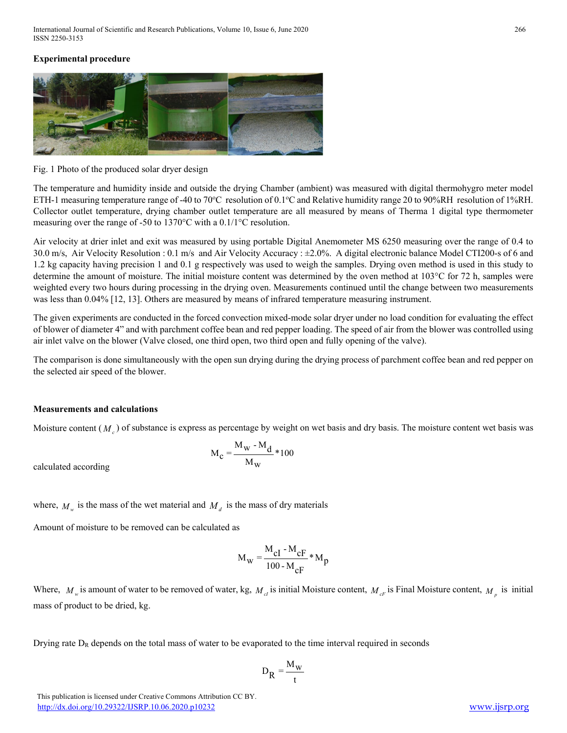# **Experimental procedure**



Fig. 1 Photo of the produced solar dryer design

The temperature and humidity inside and outside the drying Chamber (ambient) was measured with digital thermohygro meter model ETH-1 measuring temperature range of -40 to 70°C resolution of 0.1°C and Relative humidity range 20 to 90%RH resolution of 1%RH. Collector outlet temperature, drying chamber outlet temperature are all measured by means of Therma 1 digital type thermometer measuring over the range of -50 to 1370°C with a 0.1/1°C resolution.

Air velocity at drier inlet and exit was measured by using portable Digital Anemometer MS 6250 measuring over the range of 0.4 to 30.0 m/s, Air Velocity Resolution : 0.1 m/s and Air Velocity Accuracy : ±2.0%. A digital electronic balance Model CTI200-s of 6 and 1.2 kg capacity having precision 1 and 0.1 g respectively was used to weigh the samples. Drying oven method is used in this study to determine the amount of moisture. The initial moisture content was determined by the oven method at 103°C for 72 h, samples were weighted every two hours during processing in the drying oven. Measurements continued until the change between two measurements was less than 0.04% [12, 13]. Others are measured by means of infrared temperature measuring instrument.

The given experiments are conducted in the forced convection mixed-mode solar dryer under no load condition for evaluating the effect of blower of diameter 4" and with parchment coffee bean and red pepper loading. The speed of air from the blower was controlled using air inlet valve on the blower (Valve closed, one third open, two third open and fully opening of the valve).

The comparison is done simultaneously with the open sun drying during the drying process of parchment coffee bean and red pepper on the selected air speed of the blower.

## **Measurements and calculations**

Moisture content  $(M<sub>c</sub>)$  of substance is express as percentage by weight on wet basis and dry basis. The moisture content wet basis was

$$
M_{\rm c} = \frac{M_{\rm w} - M_{\rm d}}{M_{\rm w}} \cdot 100
$$

calculated according

where,  $M_w$  is the mass of the wet material and  $M_d$  is the mass of dry materials

Amount of moisture to be removed can be calculated as

$$
M_{\rm W} = \frac{M_{\rm cl} - M_{\rm cF}}{100 - M_{\rm cF}} * M_{\rm p}
$$

Where,  $M_w$  is amount of water to be removed of water, kg,  $M_d$  is initial Moisture content,  $M_c$  is Final Moisture content,  $M_u$  is initial mass of product to be dried, kg.

Drying rate  $D_R$  depends on the total mass of water to be evaporated to the time interval required in seconds

$$
\mathbf{D}_R = \frac{\mathbf{M}_w}{t}
$$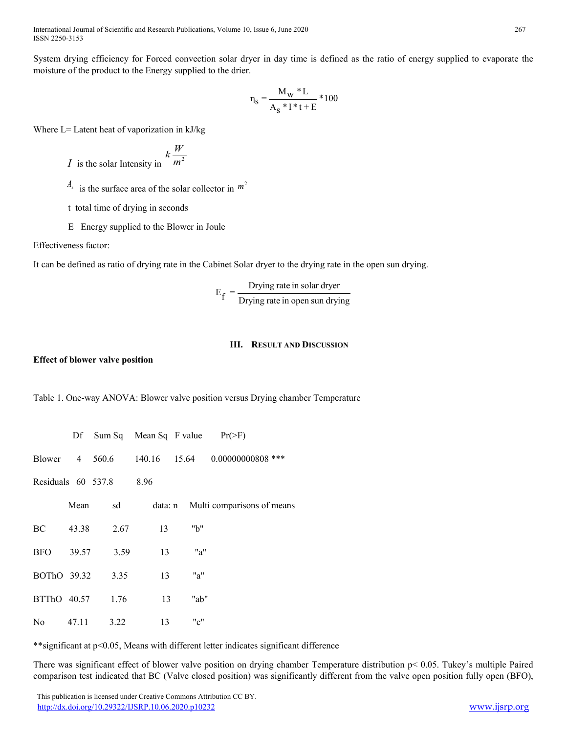System drying efficiency for Forced convection solar dryer in day time is defined as the ratio of energy supplied to evaporate the moisture of the product to the Energy supplied to the drier.

$$
\eta_S=\frac{M_W\ ^*L}{A_S\ ^*I^*t+E}\ ^*100
$$

Where L= Latent heat of vaporization in kJ/kg

*I* is the solar Intensity in 
$$
k \frac{W}{m^2}
$$

- $A_s$  is the surface area of the solar collector in  $m<sup>2</sup>$
- t total time of drying in seconds
- E Energy supplied to the Blower in Joule

Effectiveness factor:

It can be defined as ratio of drying rate in the Cabinet Solar dryer to the drying rate in the open sun drying.

$$
E_f = \frac{Drying rate in solar dyer}{Drying rate in open sun drying}
$$

#### **III. RESULT AND DISCUSSION**

#### **Effect of blower valve position**

Table 1. One-way ANOVA: Blower valve position versus Drying chamber Temperature

|             |       | Df Sum Sq Mean Sq F value $Pr(>\)$ F) |    |      |                                               |
|-------------|-------|---------------------------------------|----|------|-----------------------------------------------|
|             |       |                                       |    |      | Blower 4 560.6 140.16 15.64 0.00000000808 *** |
|             |       | Residuals 60 537.8 8.96               |    |      |                                               |
|             | Mean  | sd                                    |    |      | data: n Multi comparisons of means            |
| BC          | 43.38 | 2.67                                  | 13 | "b"  |                                               |
| BFO 39.57   |       | 3.59                                  | 13 | "a"  |                                               |
| BOThO 39.32 |       | 3.35                                  | 13 | "a"  |                                               |
|             |       | BTThO 40.57 1.76                      | 13 | "ab" |                                               |
| No          | 47.11 | 3.22                                  | 13 | "c"  |                                               |

\*\*significant at p<0.05, Means with different letter indicates significant difference

There was significant effect of blower valve position on drying chamber Temperature distribution p< 0.05. Tukey's multiple Paired comparison test indicated that BC (Valve closed position) was significantly different from the valve open position fully open (BFO),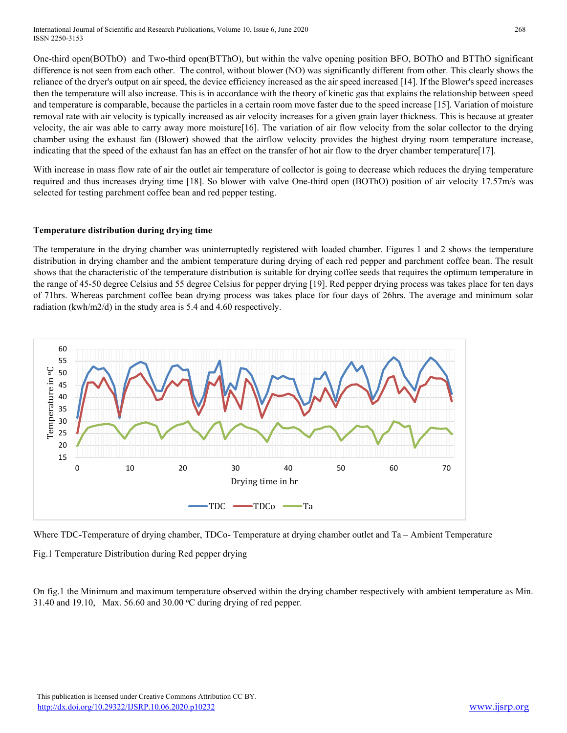One-third open(BOThO) and Two-third open(BTThO), but within the valve opening position BFO, BOThO and BTThO significant difference is not seen from each other. The control, without blower (NO) was significantly different from other. This clearly shows the reliance of the dryer's output on air speed, the device efficiency increased as the air speed increased [14]. If the Blower's speed increases then the temperature will also increase. This is in accordance with the theory of kinetic gas that explains the relationship between speed and temperature is comparable, because the particles in a certain room move faster due to the speed increase [15]. Variation of moisture removal rate with air velocity is typically increased as air velocity increases for a given grain layer thickness. This is because at greater velocity, the air was able to carry away more moisture[16]. The variation of air flow velocity from the solar collector to the drying chamber using the exhaust fan (Blower) showed that the airflow velocity provides the highest drying room temperature increase, indicating that the speed of the exhaust fan has an effect on the transfer of hot air flow to the dryer chamber temperature[17].

With increase in mass flow rate of air the outlet air temperature of collector is going to decrease which reduces the drying temperature required and thus increases drying time [18]. So blower with valve One-third open (BOThO) position of air velocity 17.57m/s was selected for testing parchment coffee bean and red pepper testing.

## **Temperature distribution during drying time**

The temperature in the drying chamber was uninterruptedly registered with loaded chamber. Figures 1 and 2 shows the temperature distribution in drying chamber and the ambient temperature during drying of each red pepper and parchment coffee bean. The result shows that the characteristic of the temperature distribution is suitable for drying coffee seeds that requires the optimum temperature in the range of 45-50 degree Celsius and 55 degree Celsius for pepper drying [19]. Red pepper drying process was takes place for ten days of 71hrs. Whereas parchment coffee bean drying process was takes place for four days of 26hrs. The average and minimum solar radiation (kwh/m2/d) in the study area is 5.4 and 4.60 respectively.



Where TDC-Temperature of drying chamber, TDCo- Temperature at drying chamber outlet and Ta – Ambient Temperature

Fig.1 Temperature Distribution during Red pepper drying

On fig.1 the Minimum and maximum temperature observed within the drying chamber respectively with ambient temperature as Min. 31.40 and 19.10, Max. 56.60 and 30.00  $^{\circ}$ C during drying of red pepper.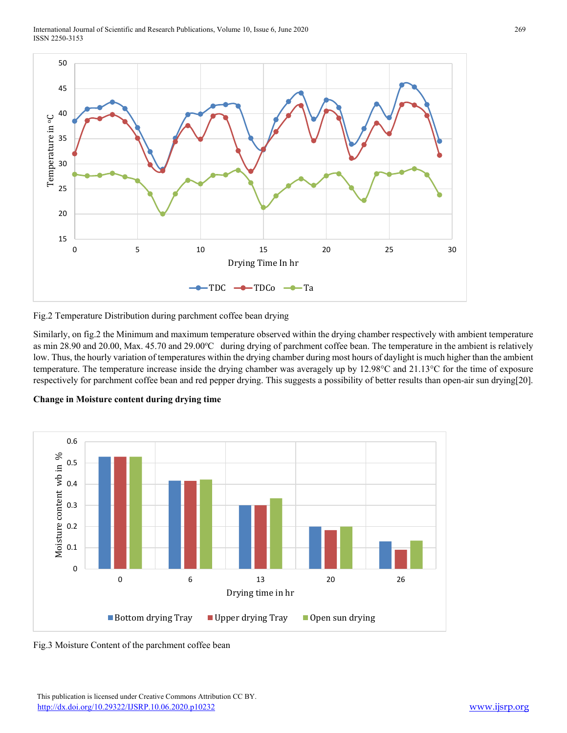International Journal of Scientific and Research Publications, Volume 10, Issue 6, June 2020 ISSN 2250-3153



Fig.2 Temperature Distribution during parchment coffee bean drying

Similarly, on fig.2 the Minimum and maximum temperature observed within the drying chamber respectively with ambient temperature as min 28.90 and 20.00, Max. 45.70 and 29.00°C during drying of parchment coffee bean. The temperature in the ambient is relatively low. Thus, the hourly variation of temperatures within the drying chamber during most hours of daylight is much higher than the ambient temperature. The temperature increase inside the drying chamber was averagely up by 12.98°C and 21.13°C for the time of exposure respectively for parchment coffee bean and red pepper drying. This suggests a possibility of better results than open-air sun drying[20].





Fig.3 Moisture Content of the parchment coffee bean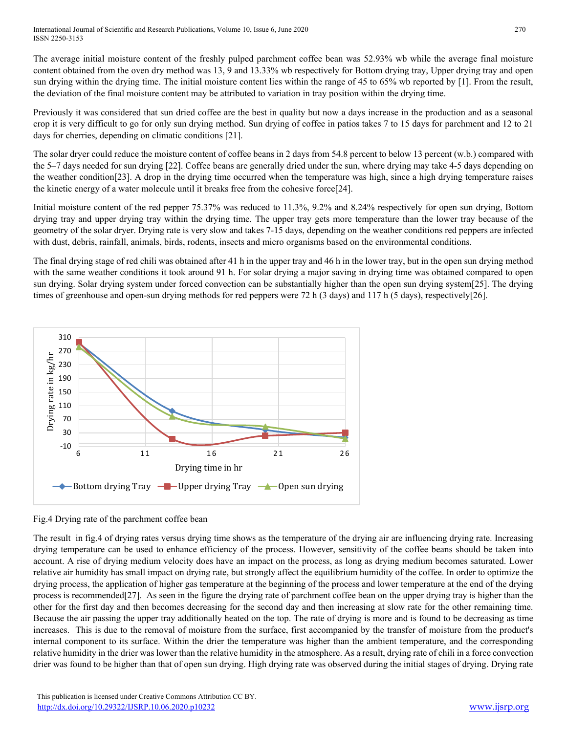International Journal of Scientific and Research Publications, Volume 10, Issue 6, June 2020 270 ISSN 2250-3153

The average initial moisture content of the freshly pulped parchment coffee bean was 52.93% wb while the average final moisture content obtained from the oven dry method was 13, 9 and 13.33% wb respectively for Bottom drying tray, Upper drying tray and open sun drying within the drying time. The initial moisture content lies within the range of 45 to 65% wb reported by [1]. From the result, the deviation of the final moisture content may be attributed to variation in tray position within the drying time.

Previously it was considered that sun dried coffee are the best in quality but now a days increase in the production and as a seasonal crop it is very difficult to go for only sun drying method. Sun drying of coffee in patios takes 7 to 15 days for parchment and 12 to 21 days for cherries, depending on climatic conditions [21].

The solar dryer could reduce the moisture content of coffee beans in 2 days from 54.8 percent to below 13 percent (w.b.) compared with the 5–7 days needed for sun drying [22]. Coffee beans are generally dried under the sun, where drying may take 4-5 days depending on the weather condition[23]. A drop in the drying time occurred when the temperature was high, since a high drying temperature raises the kinetic energy of a water molecule until it breaks free from the cohesive force[24].

Initial moisture content of the red pepper 75.37% was reduced to 11.3%, 9.2% and 8.24% respectively for open sun drying, Bottom drying tray and upper drying tray within the drying time. The upper tray gets more temperature than the lower tray because of the geometry of the solar dryer. Drying rate is very slow and takes 7-15 days, depending on the weather conditions red peppers are infected with dust, debris, rainfall, animals, birds, rodents, insects and micro organisms based on the environmental conditions.

The final drying stage of red chili was obtained after 41 h in the upper tray and 46 h in the lower tray, but in the open sun drying method with the same weather conditions it took around 91 h. For solar drying a major saving in drying time was obtained compared to open sun drying. Solar drying system under forced convection can be substantially higher than the open sun drying system[25]. The drying times of greenhouse and open-sun drying methods for red peppers were 72 h (3 days) and 117 h (5 days), respectively[26].



## Fig.4 Drying rate of the parchment coffee bean

The result in fig.4 of drying rates versus drying time shows as the temperature of the drying air are influencing drying rate. Increasing drying temperature can be used to enhance efficiency of the process. However, sensitivity of the coffee beans should be taken into account. A rise of drying medium velocity does have an impact on the process, as long as drying medium becomes saturated. Lower relative air humidity has small impact on drying rate, but strongly affect the equilibrium humidity of the coffee. In order to optimize the drying process, the application of higher gas temperature at the beginning of the process and lower temperature at the end of the drying process is recommended[27]. As seen in the figure the drying rate of parchment coffee bean on the upper drying tray is higher than the other for the first day and then becomes decreasing for the second day and then increasing at slow rate for the other remaining time. Because the air passing the upper tray additionally heated on the top. The rate of drying is more and is found to be decreasing as time increases. This is due to the removal of moisture from the surface, first accompanied by the transfer of moisture from the product's internal component to its surface. Within the drier the temperature was higher than the ambient temperature, and the corresponding relative humidity in the drier was lower than the relative humidity in the atmosphere. As a result, drying rate of chili in a force convection drier was found to be higher than that of open sun drying. High drying rate was observed during the initial stages of drying. Drying rate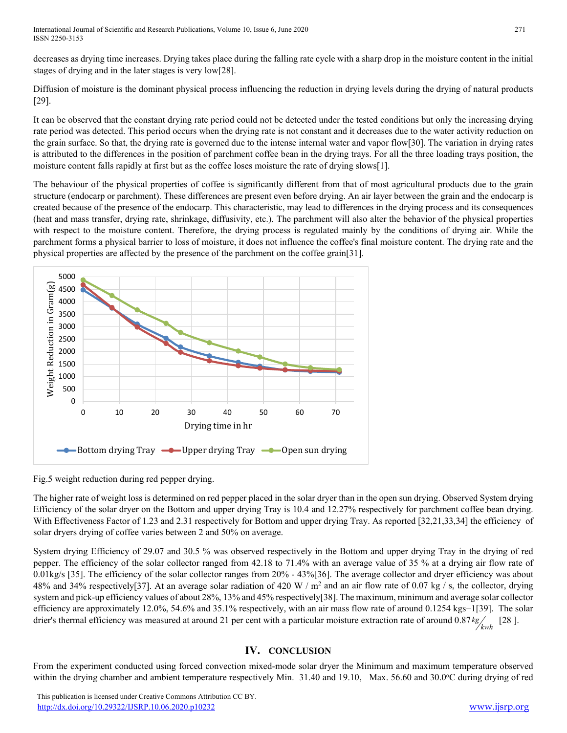decreases as drying time increases. Drying takes place during the falling rate cycle with a sharp drop in the moisture content in the initial stages of drying and in the later stages is very low[28].

Diffusion of moisture is the dominant physical process influencing the reduction in drying levels during the drying of natural products [29].

It can be observed that the constant drying rate period could not be detected under the tested conditions but only the increasing drying rate period was detected. This period occurs when the drying rate is not constant and it decreases due to the water activity reduction on the grain surface. So that, the drying rate is governed due to the intense internal water and vapor flow[30]. The variation in drying rates is attributed to the differences in the position of parchment coffee bean in the drying trays. For all the three loading trays position, the moisture content falls rapidly at first but as the coffee loses moisture the rate of drying slows[1].

The behaviour of the physical properties of coffee is significantly different from that of most agricultural products due to the grain structure (endocarp or parchment). These differences are present even before drying. An air layer between the grain and the endocarp is created because of the presence of the endocarp. This characteristic, may lead to differences in the drying process and its consequences (heat and mass transfer, drying rate, shrinkage, diffusivity, etc.). The parchment will also alter the behavior of the physical properties with respect to the moisture content. Therefore, the drying process is regulated mainly by the conditions of drying air. While the parchment forms a physical barrier to loss of moisture, it does not influence the coffee's final moisture content. The drying rate and the physical properties are affected by the presence of the parchment on the coffee grain[31].



Fig.5 weight reduction during red pepper drying.

The higher rate of weight loss is determined on red pepper placed in the solar dryer than in the open sun drying. Observed System drying Efficiency of the solar dryer on the Bottom and upper drying Tray is 10.4 and 12.27% respectively for parchment coffee bean drying. With Effectiveness Factor of 1.23 and 2.31 respectively for Bottom and upper drying Tray. As reported [32,21,33,34] the efficiency of solar dryers drying of coffee varies between 2 and 50% on average.

System drying Efficiency of 29.07 and 30.5 % was observed respectively in the Bottom and upper drying Tray in the drying of red pepper. The efficiency of the solar collector ranged from 42.18 to 71.4% with an average value of 35 % at a drying air flow rate of 0.01kg/s [35]. The efficiency of the solar collector ranges from 20% - 43%[36]. The average collector and dryer efficiency was about 48% and 34% respectively[37]. At an average solar radiation of 420 W /  $m^2$  and an air flow rate of 0.07 kg / s, the collector, drying system and pick-up efficiency values of about 28%, 13% and 45% respectively[38]. The maximum, minimum and average solar collector efficiency are approximately 12.0%, 54.6% and 35.1% respectively, with an air mass flow rate of around 0.1254 kgs−1[39]. The solar drier's thermal efficiency was measured at around 21 per cent with a particular moisture extraction rate of around  $0.87 \frac{kg}{/kwh}$  [28].

# **IV. CONCLUSION**

From the experiment conducted using forced convection mixed-mode solar dryer the Minimum and maximum temperature observed within the drying chamber and ambient temperature respectively Min. 31.40 and 19.10, Max. 56.60 and 30.0°C during drying of red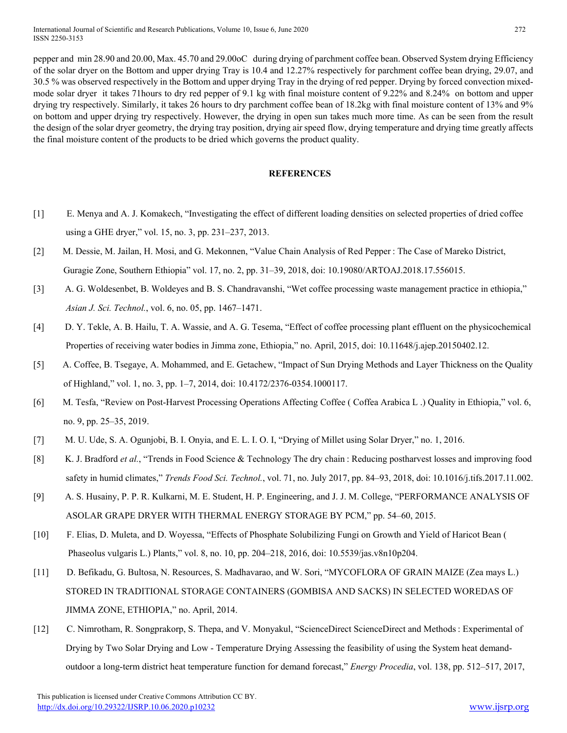pepper and min 28.90 and 20.00, Max. 45.70 and 29.00oC during drying of parchment coffee bean. Observed System drying Efficiency of the solar dryer on the Bottom and upper drying Tray is 10.4 and 12.27% respectively for parchment coffee bean drying, 29.07, and 30.5 % was observed respectively in the Bottom and upper drying Tray in the drying of red pepper. Drying by forced convection mixedmode solar dryer it takes 71hours to dry red pepper of 9.1 kg with final moisture content of 9.22% and 8.24% on bottom and upper drying try respectively. Similarly, it takes 26 hours to dry parchment coffee bean of 18.2kg with final moisture content of 13% and 9% on bottom and upper drying try respectively. However, the drying in open sun takes much more time. As can be seen from the result the design of the solar dryer geometry, the drying tray position, drying air speed flow, drying temperature and drying time greatly affects the final moisture content of the products to be dried which governs the product quality.

#### **REFERENCES**

- [1] E. Menya and A. J. Komakech, "Investigating the effect of different loading densities on selected properties of dried coffee using a GHE dryer," vol. 15, no. 3, pp. 231–237, 2013.
- [2] M. Dessie, M. Jailan, H. Mosi, and G. Mekonnen, "Value Chain Analysis of Red Pepper : The Case of Mareko District, Guragie Zone, Southern Ethiopia" vol. 17, no. 2, pp. 31–39, 2018, doi: 10.19080/ARTOAJ.2018.17.556015.
- [3] A. G. Woldesenbet, B. Woldeyes and B. S. Chandravanshi, "Wet coffee processing waste management practice in ethiopia," *Asian J. Sci. Technol.*, vol. 6, no. 05, pp. 1467–1471.
- [4] D. Y. Tekle, A. B. Hailu, T. A. Wassie, and A. G. Tesema, "Effect of coffee processing plant effluent on the physicochemical Properties of receiving water bodies in Jimma zone, Ethiopia," no. April, 2015, doi: 10.11648/j.ajep.20150402.12.
- [5] A. Coffee, B. Tsegaye, A. Mohammed, and E. Getachew, "Impact of Sun Drying Methods and Layer Thickness on the Quality of Highland," vol. 1, no. 3, pp. 1–7, 2014, doi: 10.4172/2376-0354.1000117.
- [6] M. Tesfa, "Review on Post-Harvest Processing Operations Affecting Coffee ( Coffea Arabica L .) Quality in Ethiopia," vol. 6, no. 9, pp. 25–35, 2019.
- [7] M. U. Ude, S. A. Ogunjobi, B. I. Onyia, and E. L. I. O. I, "Drying of Millet using Solar Dryer," no. 1, 2016.
- [8] K. J. Bradford *et al.*, "Trends in Food Science & Technology The dry chain : Reducing postharvest losses and improving food safety in humid climates," *Trends Food Sci. Technol.*, vol. 71, no. July 2017, pp. 84–93, 2018, doi: 10.1016/j.tifs.2017.11.002.
- [9] A. S. Husainy, P. P. R. Kulkarni, M. E. Student, H. P. Engineering, and J. J. M. College, "PERFORMANCE ANALYSIS OF ASOLAR GRAPE DRYER WITH THERMAL ENERGY STORAGE BY PCM," pp. 54–60, 2015.
- [10] F. Elias, D. Muleta, and D. Woyessa, "Effects of Phosphate Solubilizing Fungi on Growth and Yield of Haricot Bean ( Phaseolus vulgaris L.) Plants," vol. 8, no. 10, pp. 204–218, 2016, doi: 10.5539/jas.v8n10p204.
- [11] D. Befikadu, G. Bultosa, N. Resources, S. Madhavarao, and W. Sori, "MYCOFLORA OF GRAIN MAIZE (Zea mays L.) STORED IN TRADITIONAL STORAGE CONTAINERS (GOMBISA AND SACKS) IN SELECTED WOREDAS OF JIMMA ZONE, ETHIOPIA," no. April, 2014.
- [12] C. Nimrotham, R. Songprakorp, S. Thepa, and V. Monyakul, "ScienceDirect ScienceDirect and Methods : Experimental of Drying by Two Solar Drying and Low - Temperature Drying Assessing the feasibility of using the System heat demandoutdoor a long-term district heat temperature function for demand forecast," *Energy Procedia*, vol. 138, pp. 512–517, 2017,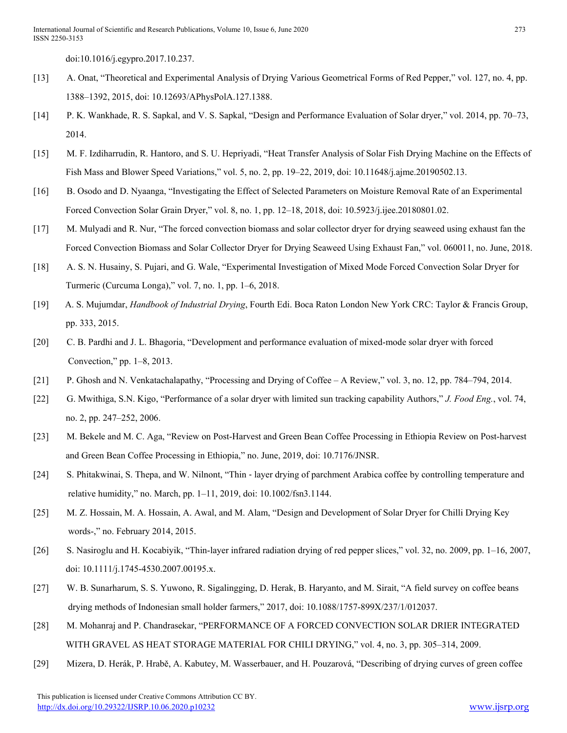doi:10.1016/j.egypro.2017.10.237.

- [13] A. Onat, "Theoretical and Experimental Analysis of Drying Various Geometrical Forms of Red Pepper," vol. 127, no. 4, pp. 1388–1392, 2015, doi: 10.12693/APhysPolA.127.1388.
- [14] P. K. Wankhade, R. S. Sapkal, and V. S. Sapkal, "Design and Performance Evaluation of Solar dryer," vol. 2014, pp. 70–73, 2014.
- [15] M. F. Izdiharrudin, R. Hantoro, and S. U. Hepriyadi, "Heat Transfer Analysis of Solar Fish Drying Machine on the Effects of Fish Mass and Blower Speed Variations," vol. 5, no. 2, pp. 19–22, 2019, doi: 10.11648/j.ajme.20190502.13.
- [16] B. Osodo and D. Nyaanga, "Investigating the Effect of Selected Parameters on Moisture Removal Rate of an Experimental Forced Convection Solar Grain Dryer," vol. 8, no. 1, pp. 12–18, 2018, doi: 10.5923/j.ijee.20180801.02.
- [17] M. Mulyadi and R. Nur, "The forced convection biomass and solar collector dryer for drying seaweed using exhaust fan the Forced Convection Biomass and Solar Collector Dryer for Drying Seaweed Using Exhaust Fan," vol. 060011, no. June, 2018.
- [18] A. S. N. Husainy, S. Pujari, and G. Wale, "Experimental Investigation of Mixed Mode Forced Convection Solar Dryer for Turmeric (Curcuma Longa)," vol. 7, no. 1, pp. 1–6, 2018.
- [19] A. S. Mujumdar, *Handbook of Industrial Drying*, Fourth Edi. Boca Raton London New York CRC: Taylor & Francis Group, pp. 333, 2015.
- [20] C. B. Pardhi and J. L. Bhagoria, "Development and performance evaluation of mixed-mode solar dryer with forced Convection," pp. 1–8, 2013.
- [21] P. Ghosh and N. Venkatachalapathy, "Processing and Drying of Coffee A Review," vol. 3, no. 12, pp. 784–794, 2014.
- [22] G. Mwithiga, S.N. Kigo, "Performance of a solar dryer with limited sun tracking capability Authors," *J. Food Eng.*, vol. 74, no. 2, pp. 247–252, 2006.
- [23] M. Bekele and M. C. Aga, "Review on Post-Harvest and Green Bean Coffee Processing in Ethiopia Review on Post-harvest and Green Bean Coffee Processing in Ethiopia," no. June, 2019, doi: 10.7176/JNSR.
- [24] S. Phitakwinai, S. Thepa, and W. Nilnont, "Thin ‐ layer drying of parchment Arabica coffee by controlling temperature and relative humidity," no. March, pp. 1–11, 2019, doi: 10.1002/fsn3.1144.
- [25] M. Z. Hossain, M. A. Hossain, A. Awal, and M. Alam, "Design and Development of Solar Dryer for Chilli Drying Key words-," no. February 2014, 2015.
- [26] S. Nasiroglu and H. Kocabiyik, "Thin-layer infrared radiation drying of red pepper slices," vol. 32, no. 2009, pp. 1–16, 2007, doi: 10.1111/j.1745-4530.2007.00195.x.
- [27] W. B. Sunarharum, S. S. Yuwono, R. Sigalingging, D. Herak, B. Haryanto, and M. Sirait, "A field survey on coffee beans drying methods of Indonesian small holder farmers," 2017, doi: 10.1088/1757-899X/237/1/012037.
- [28] M. Mohanraj and P. Chandrasekar, "PERFORMANCE OF A FORCED CONVECTION SOLAR DRIER INTEGRATED WITH GRAVEL AS HEAT STORAGE MATERIAL FOR CHILI DRYING," vol. 4, no. 3, pp. 305–314, 2009.
- [29] Mizera, D. Herák, P. Hrabě, A. Kabutey, M. Wasserbauer, and H. Pouzarová, "Describing of drying curves of green coffee